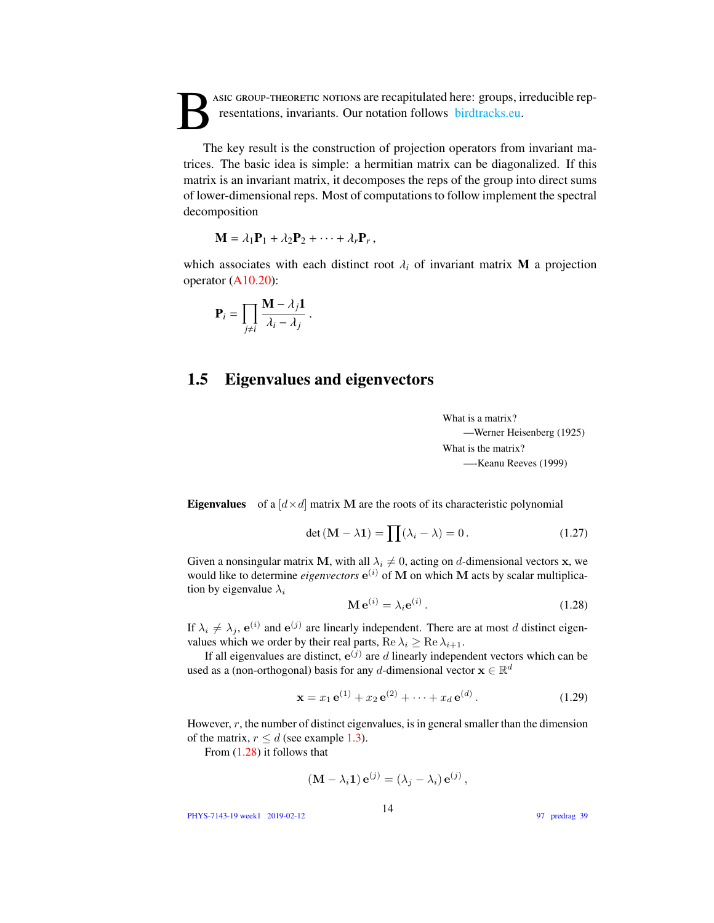B asic GROUP-THEORETIC NOTIONS are recapitulated here: groups, irreducible representations, invariants. Our notation follows birdtracks.eu.

The key result is the construction of projection operators from invariant matrices. The basic idea is simple: a hermitian matrix can be diagonalized. If this matrix is an invariant matrix, it decomposes the reps of the group into direct sums of lower-dimensional reps. Most of computations to follow implement the spectral decomposition

$$
\mathbf{M} = \lambda_1 \mathbf{P}_1 + \lambda_2 \mathbf{P}_2 + \cdots + \lambda_r \mathbf{P}_r,
$$

which associates with each distinct root  $\lambda_i$  of invariant matrix **M** a projection operator (A10.20):

$$
\mathbf{P}_i = \prod_{j \neq i} \frac{\mathbf{M} - \lambda_j \mathbf{1}}{\lambda_i - \lambda_j}
$$

## 1.5 Eigenvalues and eigenvectors

What is a matrix? —Werner Heisenberg (1925) What is the matrix? —-Keanu Reeves (1999)

**Eigenvalues** of a  $\left[ d \times d \right]$  matrix M are the roots of its characteristic polynomial

$$
\det\left(\mathbf{M} - \lambda \mathbf{1}\right) = \prod(\lambda_i - \lambda) = 0. \tag{1.27}
$$

Given a nonsingular matrix M, with all  $\lambda_i \neq 0$ , acting on d-dimensional vectors x, we would like to determine *eigenvectors*  $e^{(i)}$  of M on which M acts by scalar multiplication by eigenvalue  $\lambda_i$  $\sim$ 

<span id="page-0-0"></span>
$$
\mathbf{M}\,\mathbf{e}^{(i)} = \lambda_i \mathbf{e}^{(i)}\,. \tag{1.28}
$$

If  $\lambda_i \neq \lambda_j$ ,  $e^{(i)}$  and  $e^{(j)}$  are linearly independent. There are at most d distinct eigenvalues which we order by their real parts,  $\text{Re }\lambda_i \geq \text{Re }\lambda_{i+1}$ .

If all eigenvalues are distinct,  $e^{(j)}$  are d linearly independent vectors which can be used as a (non-orthogonal) basis for any d-dimensional vector  $\mathbf{x} \in \mathbb{R}^d$ 

<span id="page-0-1"></span>
$$
\mathbf{x} = x_1 \,\mathbf{e}^{(1)} + x_2 \,\mathbf{e}^{(2)} + \dots + x_d \,\mathbf{e}^{(d)} \,. \tag{1.29}
$$

However,  $r$ , the number of distinct eigenvalues, is in general smaller than the dimension of the matrix,  $r \leq d$  (see example 1.3).

From [\(1.28\)](#page-0-0) it follows that

$$
(\mathbf{M} - \lambda_i \mathbf{1}) \mathbf{e}^{(j)} = (\lambda_j - \lambda_i) \mathbf{e}^{(j)},
$$

PHYS-7143-19 week1 2019-02-12

97 predrag 39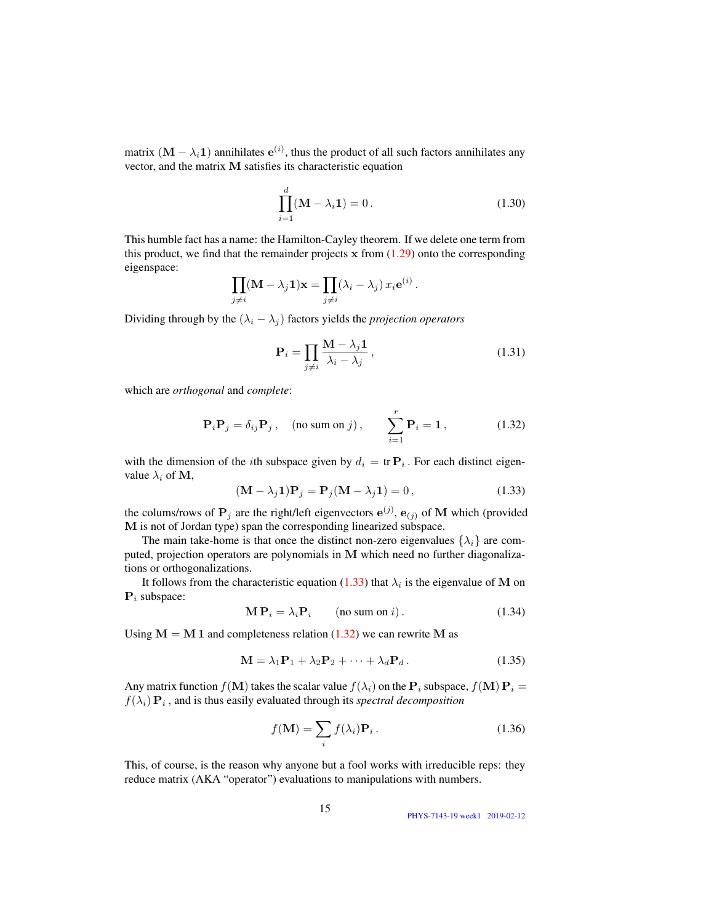matrix  $(M - \lambda_i 1)$  annihilates  $e^{(i)}$ , thus the product of all such factors annihilates any vector, and the matrix M satisfies its characteristic equation

$$
\prod_{i=1}^{d} (\mathbf{M} - \lambda_i \mathbf{1}) = 0.
$$
 (1.30)

This humble fact has a name: the Hamilton-Cayley theorem. If we delete one term from this product, we find that the remainder projects  $x$  from  $(1.29)$  onto the corresponding eigenspace:

$$
\prod_{j \neq i} (\mathbf{M} - \lambda_j \mathbf{1}) \mathbf{x} = \prod_{j \neq i} (\lambda_i - \lambda_j) x_i e^{(i)}.
$$

Dividing through by the  $(\lambda_i - \lambda_j)$  factors yields the *projection operators* 

$$
\mathbf{P}_{i} = \prod_{j \neq i} \frac{\mathbf{M} - \lambda_{j} \mathbf{1}}{\lambda_{i} - \lambda_{j}},\tag{1.31}
$$

which are *orthogonal* and *complete*:

<span id="page-1-1"></span>
$$
\mathbf{P}_{i}\mathbf{P}_{j} = \delta_{ij}\mathbf{P}_{j}, \quad \text{(no sum on } j), \qquad \sum_{i=1}^{r} \mathbf{P}_{i} = \mathbf{1}, \tag{1.32}
$$

with the dimension of the *i*th subspace given by  $d_i = \text{tr } P_i$ . For each distinct eigenvalue  $\lambda_i$  of M,

<span id="page-1-0"></span>
$$
(\mathbf{M} - \lambda_j \mathbf{1}) \mathbf{P}_j = \mathbf{P}_j (\mathbf{M} - \lambda_j \mathbf{1}) = 0, \qquad (1.33)
$$

the colums/rows of  $P_j$  are the right/left eigenvectors  $e^{(j)}$ ,  $e_{(j)}$  of M which (provided M is not of Jordan type) span the corresponding linearized subspace.

The main take-home is that once the distinct non-zero eigenvalues  $\{\lambda_i\}$  are computed, projection operators are polynomials in M which need no further diagonalizations or orthogonalizations.

It follows from the characteristic equation [\(1.33\)](#page-1-0) that  $\lambda_i$  is the eigenvalue of M on  $P_i$  subspace:

$$
\mathbf{M} \mathbf{P}_i = \lambda_i \mathbf{P}_i \qquad \text{(no sum on } i\text{)}.
$$
 (1.34)

Using  $M = M1$  and completeness relation [\(1.32\)](#page-1-1) we can rewrite M as

$$
\mathbf{M} = \lambda_1 \mathbf{P}_1 + \lambda_2 \mathbf{P}_2 + \dots + \lambda_d \mathbf{P}_d.
$$
 (1.35)

Any matrix function  $f(\mathbf{M})$  takes the scalar value  $f(\lambda_i)$  on the  $\mathbf{P}_i$  subspace,  $f(\mathbf{M}) \mathbf{P}_i =$  $f(\lambda_i) \mathbf{P}_i$ , and is thus easily evaluated through its *spectral decomposition* 

$$
f(\mathbf{M}) = \sum_{i} f(\lambda_i) \mathbf{P}_i.
$$
 (1.36)

This, of course, is the reason why anyone but a fool works with irreducible reps: they reduce matrix (AKA "operator") evaluations to manipulations with numbers.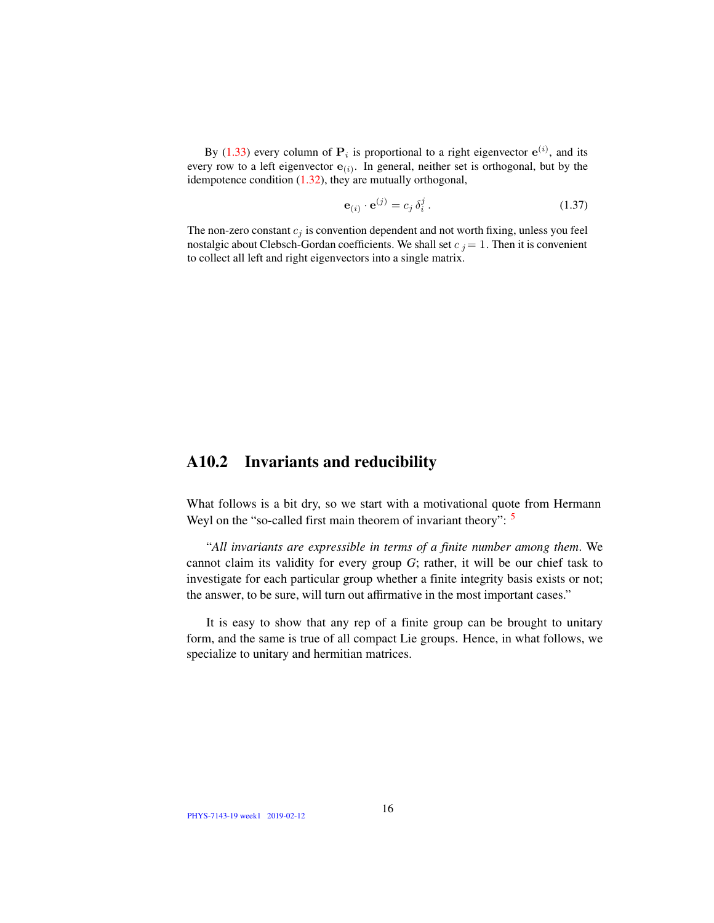By [\(1.33\)](#page-1-0) every column of  $P_i$  is proportional to a right eigenvector  $e^{(i)}$ , and its every row to a left eigenvector  $e_{(i)}$ . In general, neither set is orthogonal, but by the idempotence condition  $(1.32)$ , they are mutually orthogonal,

$$
\mathbf{e}_{(i)} \cdot \mathbf{e}^{(j)} = c_j \, \delta_i^j \,. \tag{1.37}
$$

The non-zero constant  $c_j$  is convention dependent and not worth fixing, unless you feel nostalgic about Clebsch-Gordan coefficients. We shall set  $c_j = 1$ . Then it is convenient to collect all left and right eigenvectors into a single matrix.

## A10.2 Invariants and reducibility

What follows is a bit dry, so we start with a motivational quote from Hermann Weyl on the "so-called first main theorem of invariant theory":  $\frac{5}{ }$ 

"*All invariants are expressible in terms of a finite number among them*. We cannot claim its validity for every group *G*; rather, it will be our chief task to investigate for each particular group whether a finite integrity basis exists or not; the answer, to be sure, will turn out affirmative in the most important cases."

It is easy to show that any rep of a finite group can be brought to unitary form, and the same is true of all compact Lie groups. Hence, in what follows, we specialize to unitary and hermitian matrices.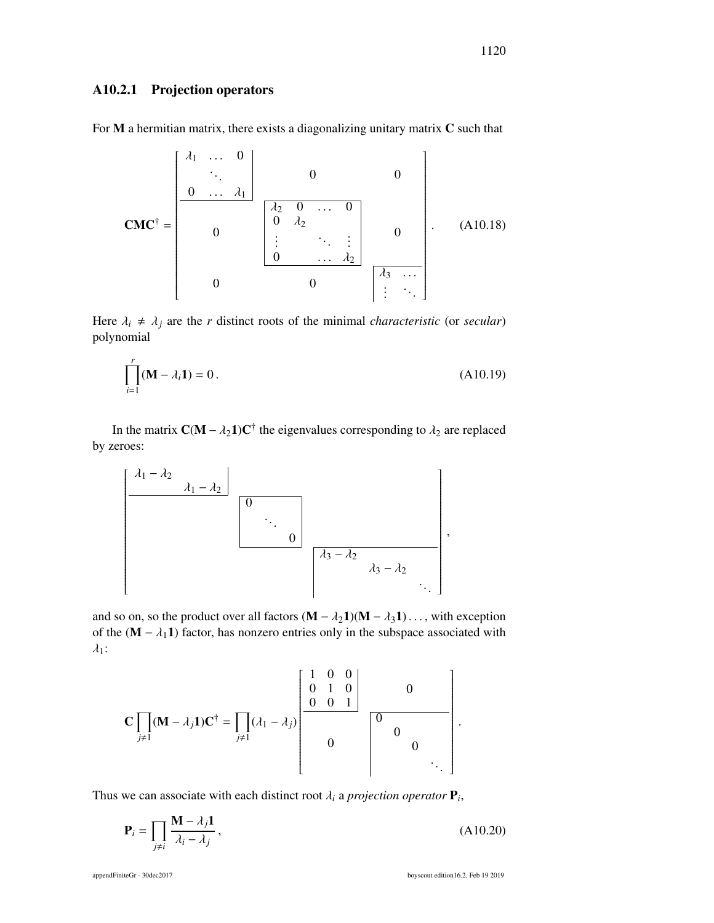## A10.2.1 Projection operators

For  $M$  a hermitian matrix, there exists a diagonalizing unitary matrix  $C$  such that

CMC† = <sup>λ</sup><sup>1</sup> . . . <sup>0</sup> <sup>0</sup> . . . λ<sup>1</sup> 0 0 0 <sup>λ</sup><sup>2</sup> <sup>0</sup> . . . <sup>0</sup> <sup>0</sup> <sup>λ</sup><sup>2</sup> . . . . . . <sup>0</sup> . . . λ<sup>2</sup> 0 0 0 λ<sup>3</sup> . . . . . . (A10.18)

Here  $\lambda_i \neq \lambda_j$  are the *r* distinct roots of the minimal *characteristic* (or *secular*) polynomial

$$
\prod_{i=1}^{r} (\mathbf{M} - \lambda_i \mathbf{1}) = 0.
$$
 (A10.19)

In the matrix  $C(M - \lambda_2 1)C^{\dagger}$  the eigenvalues corresponding to  $\lambda_2$  are replaced by zeroes:



and so on, so the product over all factors  $(M - \lambda_2 1)(M - \lambda_3 1) \dots$ , with exception of the  $(M − \lambda_1 1)$  factor, has nonzero entries only in the subspace associated with  $\lambda_1$ :

$$
\mathbf{C} \prod_{j \neq 1} (\mathbf{M} - \lambda_j \mathbf{1}) \mathbf{C}^{\dagger} = \prod_{j \neq 1} (\lambda_1 - \lambda_j) \begin{bmatrix} 1 & 0 & 0 \\ 0 & 1 & 0 \\ 0 & 0 & 1 \\ 0 & 0 & 0 \\ 0 & 0 & 0 \\ 0 & 0 & 0 \\ 0 & 0 & 0 \end{bmatrix}
$$

Thus we can associate with each distinct root  $\lambda_i$  a *projection operator*  $P_i$ ,

$$
\mathbf{P}_{i} = \prod_{j \neq i} \frac{\mathbf{M} - \lambda_{j} \mathbf{1}}{\lambda_{i} - \lambda_{j}},
$$
\n(A10.20)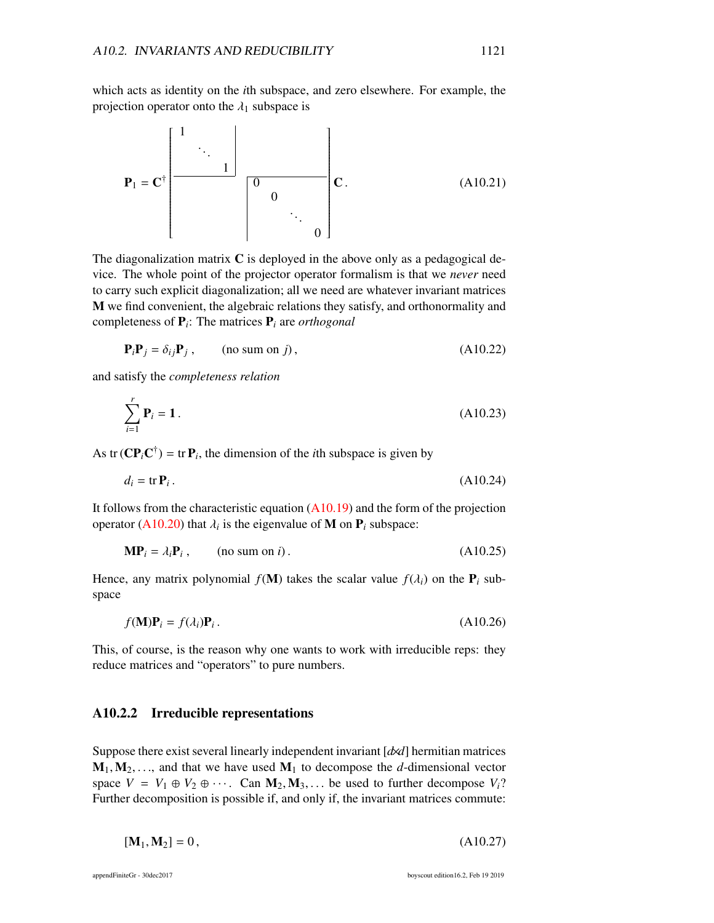which acts as identity on the *i*th subspace, and zero elsewhere. For example, the projection operator onto the  $\lambda_1$  subspace is

$$
\mathbf{P}_1 = \mathbf{C}^{\dagger} \begin{bmatrix} 1 & & & & \\ & \ddots & & & \\ & & 1 & & \\ & & & 0 & \\ & & & & \ddots \\ & & & & & 0 \end{bmatrix} \mathbf{C}.
$$
 (A10.21)

The diagonalization matrix  $C$  is deployed in the above only as a pedagogical device. The whole point of the projector operator formalism is that we *never* need to carry such explicit diagonalization; all we need are whatever invariant matrices M we find convenient, the algebraic relations they satisfy, and orthonormality and completeness of P*<sup>i</sup>* : The matrices P*<sup>i</sup>* are *orthogonal*

$$
\mathbf{P}_i \mathbf{P}_j = \delta_{ij} \mathbf{P}_j \,, \qquad \text{(no sum on } j), \tag{A10.22}
$$

and satisfy the *completeness relation*

$$
\sum_{i=1}^{r} \mathbf{P}_i = 1.
$$
 (A10.23)

As tr  $(CP_i C^{\dagger})$  = tr  $P_i$ , the dimension of the *i*th subspace is given by

$$
d_i = \text{tr } \mathbf{P}_i \,. \tag{A10.24}
$$

It follows from the characteristic equation  $(A10.19)$  and the form of the projection operator (A10.20) that  $\lambda_i$  is the eigenvalue of **M** on  $P_i$  subspace:

$$
\mathbf{MP}_i = \lambda_i \mathbf{P}_i \,, \qquad \text{(no sum on } i) \,. \tag{A10.25}
$$

Hence, any matrix polynomial  $f(M)$  takes the scalar value  $f(\lambda_i)$  on the  $P_i$  subspace

$$
f(\mathbf{M})\mathbf{P}_i = f(\lambda_i)\mathbf{P}_i. \tag{A10.26}
$$

This, of course, is the reason why one wants to work with irreducible reps: they reduce matrices and "operators" to pure numbers.

## A10.2.2 Irreducible representations

Suppose there exist several linearly independent invariant [*d*×*d*] hermitian matrices  $M_1, M_2, \ldots$ , and that we have used  $M_1$  to decompose the *d*-dimensional vector space  $V = V_1 \oplus V_2 \oplus \cdots$ . Can  $M_2, M_3, \ldots$  be used to further decompose  $V_i$ ? Further decomposition is possible if, and only if, the invariant matrices commute:

$$
[\mathbf{M}_1, \mathbf{M}_2] = 0, \tag{A10.27}
$$